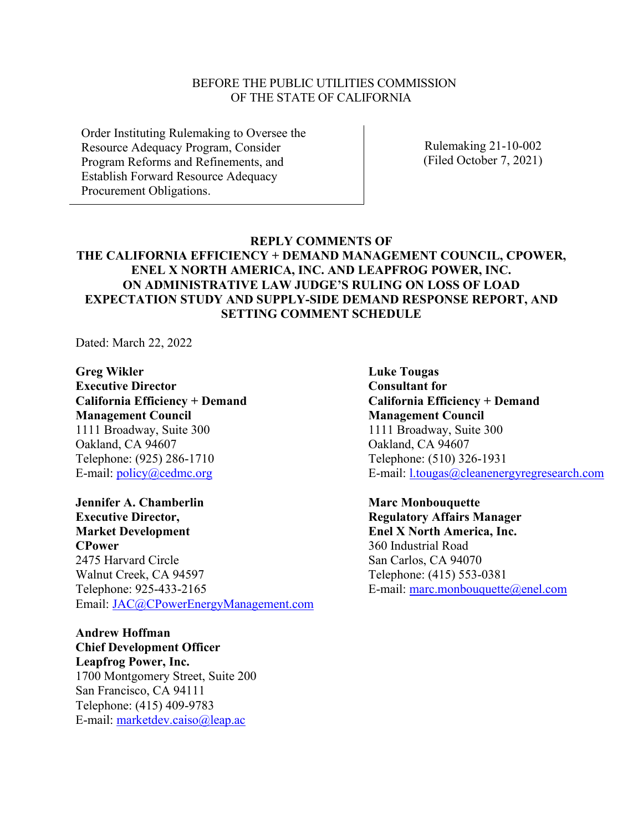#### BEFORE THE PUBLIC UTILITIES COMMISSION OF THE STATE OF CALIFORNIA

Order Instituting Rulemaking to Oversee the Resource Adequacy Program, Consider Program Reforms and Refinements, and Establish Forward Resource Adequacy Procurement Obligations.

Rulemaking 21-10-002 (Filed October 7, 2021)

#### **REPLY COMMENTS OF**

## **THE CALIFORNIA EFFICIENCY + DEMAND MANAGEMENT COUNCIL, CPOWER, ENEL X NORTH AMERICA, INC. AND LEAPFROG POWER, INC. ON ADMINISTRATIVE LAW JUDGE'S RULING ON LOSS OF LOAD EXPECTATION STUDY AND SUPPLY-SIDE DEMAND RESPONSE REPORT, AND SETTING COMMENT SCHEDULE**

Dated: March 22, 2022

**Greg Wikler Executive Director California Efficiency + Demand Management Council** 1111 Broadway, Suite 300 Oakland, CA 94607 Telephone: (925) 286-1710 E-mail: [policy@cedmc.org](mailto:policy@cedmc.org)

**Jennifer A. Chamberlin Executive Director, Market Development CPower** 2475 Harvard Circle Walnut Creek, CA 94597 Telephone: 925-433-2165 Email: [JAC@CPowerEnergyManagement.com](mailto:JAC@CPowerEnergyManagement.com)

**Andrew Hoffman Chief Development Officer Leapfrog Power, Inc.** 1700 Montgomery Street, Suite 200 San Francisco, CA 94111 Telephone: (415) 409-9783 E-mail: [marketdev.caiso@leap.ac](mailto:marketdev.caiso@leap.ac)

**Luke Tougas Consultant for California Efficiency + Demand Management Council** 1111 Broadway, Suite 300 Oakland, CA 94607 Telephone: (510) 326-1931 E-mail: [l.tougas@cleanenergyregresearch.com](mailto:l.tougas@cleanenergyregresearch.com)

**Marc Monbouquette Regulatory Affairs Manager Enel X North America, Inc.** 360 Industrial Road San Carlos, CA 94070 Telephone: (415) 553-0381 E-mail: [marc.monbouquette@enel.com](mailto:marc.monbouquette@enel.com)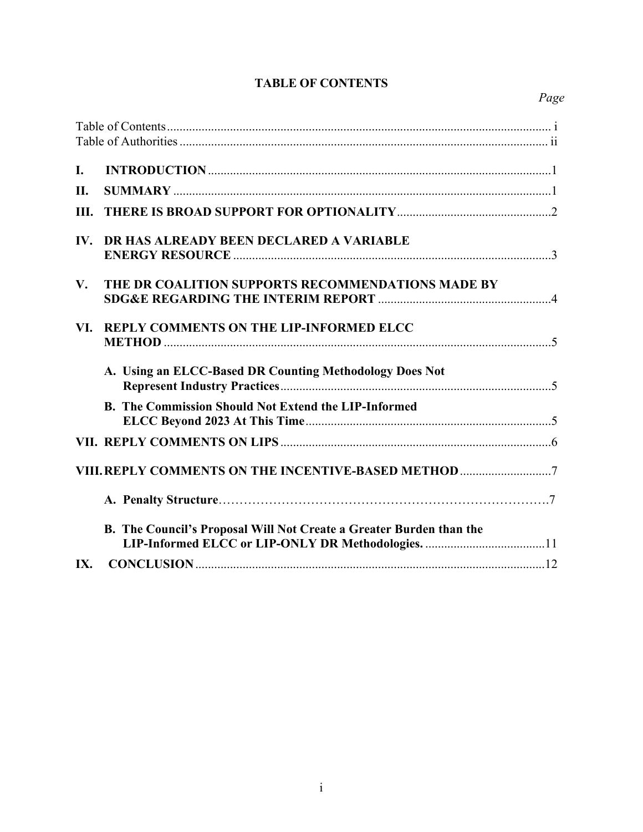## **TABLE OF CONTENTS**

# *Page*

| I.            |                                                                     |
|---------------|---------------------------------------------------------------------|
| II.           |                                                                     |
| III.          |                                                                     |
| IV.           | DR HAS ALREADY BEEN DECLARED A VARIABLE                             |
| $V_{\bullet}$ | THE DR COALITION SUPPORTS RECOMMENDATIONS MADE BY                   |
| VI.           | REPLY COMMENTS ON THE LIP-INFORMED ELCC                             |
|               | A. Using an ELCC-Based DR Counting Methodology Does Not             |
|               | <b>B.</b> The Commission Should Not Extend the LIP-Informed         |
|               |                                                                     |
|               |                                                                     |
|               |                                                                     |
|               | B. The Council's Proposal Will Not Create a Greater Burden than the |
| IX.           |                                                                     |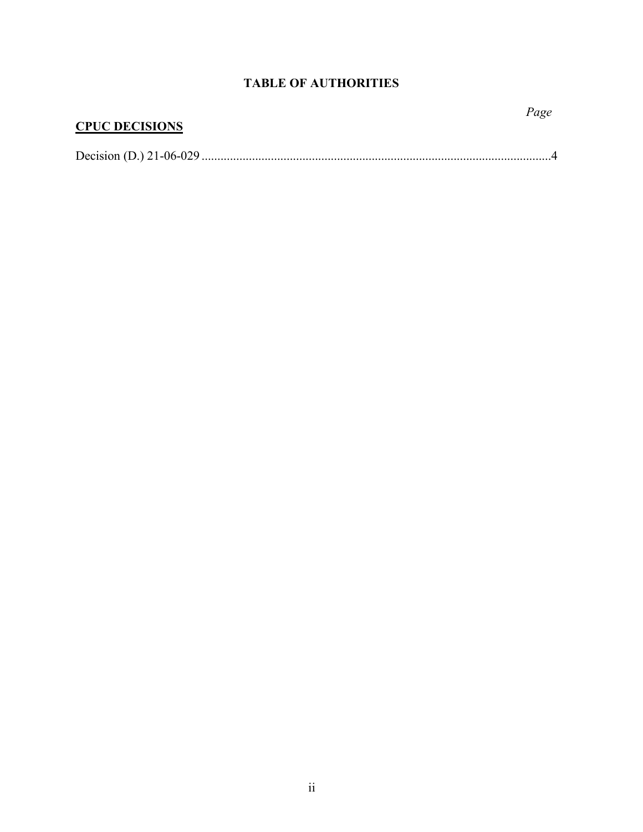## **TABLE OF AUTHORITIES**

*Page*

# **CPUC DECISIONS**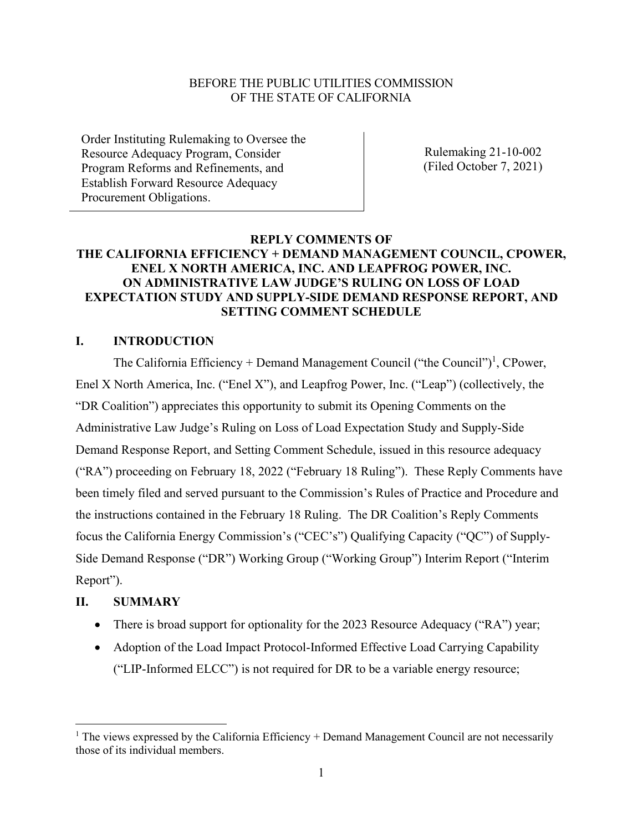#### BEFORE THE PUBLIC UTILITIES COMMISSION OF THE STATE OF CALIFORNIA

Order Instituting Rulemaking to Oversee the Resource Adequacy Program, Consider Program Reforms and Refinements, and Establish Forward Resource Adequacy Procurement Obligations.

Rulemaking 21-10-002 (Filed October 7, 2021)

## **REPLY COMMENTS OF THE CALIFORNIA EFFICIENCY + DEMAND MANAGEMENT COUNCIL, CPOWER, ENEL X NORTH AMERICA, INC. AND LEAPFROG POWER, INC. ON ADMINISTRATIVE LAW JUDGE'S RULING ON LOSS OF LOAD EXPECTATION STUDY AND SUPPLY-SIDE DEMAND RESPONSE REPORT, AND SETTING COMMENT SCHEDULE**

## **I. INTRODUCTION**

The California Efficiency + Demand Management Council ("the Council")<sup>1</sup>, CPower, Enel X North America, Inc. ("Enel X"), and Leapfrog Power, Inc. ("Leap") (collectively, the "DR Coalition") appreciates this opportunity to submit its Opening Comments on the Administrative Law Judge's Ruling on Loss of Load Expectation Study and Supply-Side Demand Response Report, and Setting Comment Schedule, issued in this resource adequacy ("RA") proceeding on February 18, 2022 ("February 18 Ruling"). These Reply Comments have been timely filed and served pursuant to the Commission's Rules of Practice and Procedure and the instructions contained in the February 18 Ruling. The DR Coalition's Reply Comments focus the California Energy Commission's ("CEC's") Qualifying Capacity ("QC") of Supply-Side Demand Response ("DR") Working Group ("Working Group") Interim Report ("Interim Report").

#### **II. SUMMARY**

- There is broad support for optionality for the 2023 Resource Adequacy ("RA") year;
- Adoption of the Load Impact Protocol-Informed Effective Load Carrying Capability ("LIP-Informed ELCC") is not required for DR to be a variable energy resource;

 $1$  The views expressed by the California Efficiency + Demand Management Council are not necessarily those of its individual members.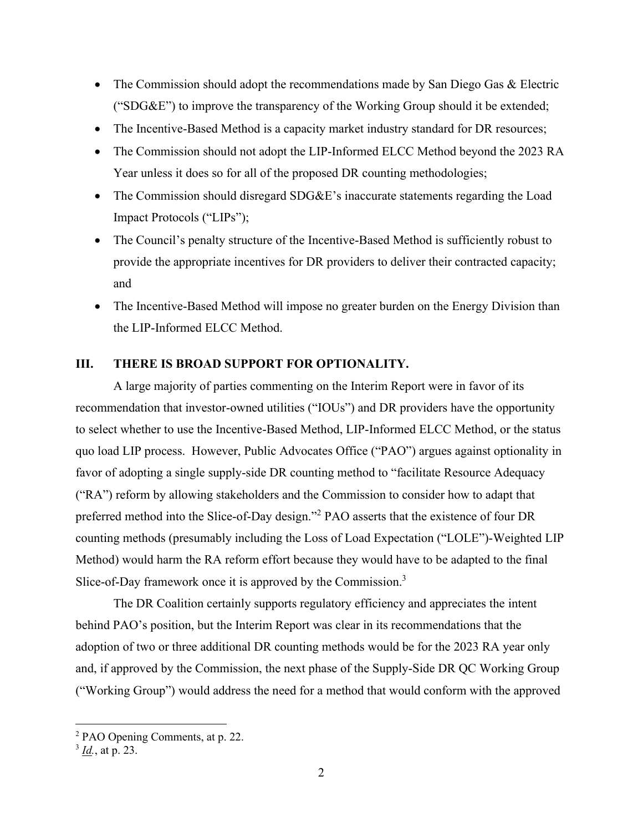- The Commission should adopt the recommendations made by San Diego Gas & Electric ("SDG&E") to improve the transparency of the Working Group should it be extended;
- The Incentive-Based Method is a capacity market industry standard for DR resources;
- The Commission should not adopt the LIP-Informed ELCC Method beyond the 2023 RA Year unless it does so for all of the proposed DR counting methodologies;
- The Commission should disregard SDG&E's inaccurate statements regarding the Load Impact Protocols ("LIPs");
- The Council's penalty structure of the Incentive-Based Method is sufficiently robust to provide the appropriate incentives for DR providers to deliver their contracted capacity; and
- The Incentive-Based Method will impose no greater burden on the Energy Division than the LIP-Informed ELCC Method.

## **III. THERE IS BROAD SUPPORT FOR OPTIONALITY.**

A large majority of parties commenting on the Interim Report were in favor of its recommendation that investor-owned utilities ("IOUs") and DR providers have the opportunity to select whether to use the Incentive-Based Method, LIP-Informed ELCC Method, or the status quo load LIP process. However, Public Advocates Office ("PAO") argues against optionality in favor of adopting a single supply-side DR counting method to "facilitate Resource Adequacy ("RA") reform by allowing stakeholders and the Commission to consider how to adapt that preferred method into the Slice-of-Day design."<sup>2</sup> PAO asserts that the existence of four DR counting methods (presumably including the Loss of Load Expectation ("LOLE")-Weighted LIP Method) would harm the RA reform effort because they would have to be adapted to the final Slice-of-Day framework once it is approved by the Commission.<sup>3</sup>

The DR Coalition certainly supports regulatory efficiency and appreciates the intent behind PAO's position, but the Interim Report was clear in its recommendations that the adoption of two or three additional DR counting methods would be for the 2023 RA year only and, if approved by the Commission, the next phase of the Supply-Side DR QC Working Group ("Working Group") would address the need for a method that would conform with the approved

<sup>2</sup> PAO Opening Comments, at p. 22.

<sup>3</sup> *Id.*, at p. 23.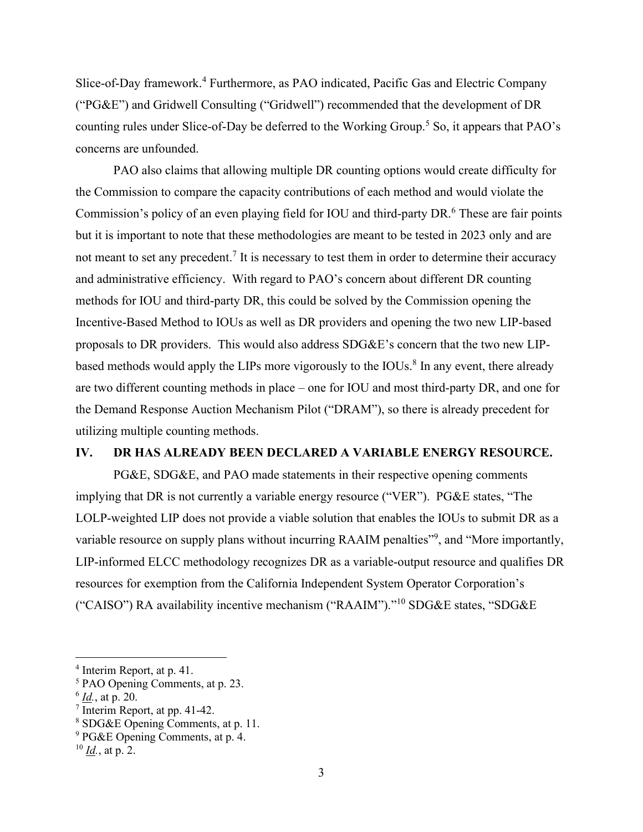Slice-of-Day framework.<sup>4</sup> Furthermore, as PAO indicated, Pacific Gas and Electric Company ("PG&E") and Gridwell Consulting ("Gridwell") recommended that the development of DR counting rules under Slice-of-Day be deferred to the Working Group.<sup>5</sup> So, it appears that PAO's concerns are unfounded.

PAO also claims that allowing multiple DR counting options would create difficulty for the Commission to compare the capacity contributions of each method and would violate the Commission's policy of an even playing field for IOU and third-party DR.<sup>6</sup> These are fair points but it is important to note that these methodologies are meant to be tested in 2023 only and are not meant to set any precedent.<sup>7</sup> It is necessary to test them in order to determine their accuracy and administrative efficiency. With regard to PAO's concern about different DR counting methods for IOU and third-party DR, this could be solved by the Commission opening the Incentive-Based Method to IOUs as well as DR providers and opening the two new LIP-based proposals to DR providers. This would also address SDG&E's concern that the two new LIPbased methods would apply the LIPs more vigorously to the IOUs.<sup>8</sup> In any event, there already are two different counting methods in place – one for IOU and most third-party DR, and one for the Demand Response Auction Mechanism Pilot ("DRAM"), so there is already precedent for utilizing multiple counting methods.

#### **IV. DR HAS ALREADY BEEN DECLARED A VARIABLE ENERGY RESOURCE.**

PG&E, SDG&E, and PAO made statements in their respective opening comments implying that DR is not currently a variable energy resource ("VER"). PG&E states, "The LOLP-weighted LIP does not provide a viable solution that enables the IOUs to submit DR as a variable resource on supply plans without incurring RAAIM penalties"<sup>9</sup>, and "More importantly, LIP-informed ELCC methodology recognizes DR as a variable-output resource and qualifies DR resources for exemption from the California Independent System Operator Corporation's ("CAISO") RA availability incentive mechanism ("RAAIM")."<sup>10</sup> SDG&E states, "SDG&E

<sup>4</sup> Interim Report, at p. 41.

<sup>5</sup> PAO Opening Comments, at p. 23.

<sup>6</sup> *Id.*, at p. 20.

<sup>7</sup> Interim Report, at pp. 41-42.

<sup>8</sup> SDG&E Opening Comments, at p. 11.

<sup>9</sup> PG&E Opening Comments, at p. 4.

 $10 \underline{Id}$ , at p. 2.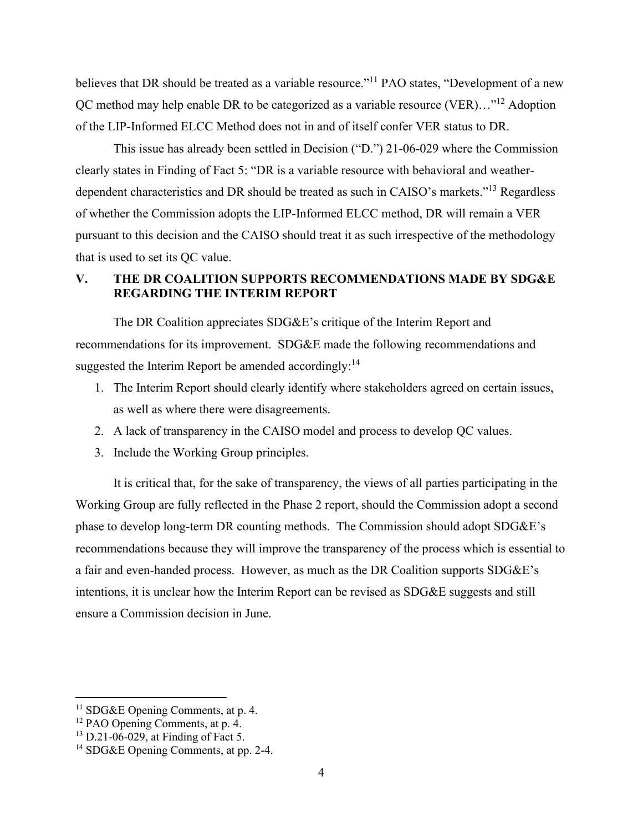believes that DR should be treated as a variable resource."<sup>11</sup> PAO states, "Development of a new QC method may help enable DR to be categorized as a variable resource (VER)…"<sup>12</sup> Adoption of the LIP-Informed ELCC Method does not in and of itself confer VER status to DR.

This issue has already been settled in Decision ("D.") 21-06-029 where the Commission clearly states in Finding of Fact 5: "DR is a variable resource with behavioral and weatherdependent characteristics and DR should be treated as such in CAISO's markets."<sup>13</sup> Regardless of whether the Commission adopts the LIP-Informed ELCC method, DR will remain a VER pursuant to this decision and the CAISO should treat it as such irrespective of the methodology that is used to set its QC value.

## **V. THE DR COALITION SUPPORTS RECOMMENDATIONS MADE BY SDG&E REGARDING THE INTERIM REPORT**

The DR Coalition appreciates SDG&E's critique of the Interim Report and recommendations for its improvement. SDG&E made the following recommendations and suggested the Interim Report be amended accordingly: $14$ 

- 1. The Interim Report should clearly identify where stakeholders agreed on certain issues, as well as where there were disagreements.
- 2. A lack of transparency in the CAISO model and process to develop QC values.
- 3. Include the Working Group principles.

It is critical that, for the sake of transparency, the views of all parties participating in the Working Group are fully reflected in the Phase 2 report, should the Commission adopt a second phase to develop long-term DR counting methods. The Commission should adopt SDG&E's recommendations because they will improve the transparency of the process which is essential to a fair and even-handed process. However, as much as the DR Coalition supports SDG&E's intentions, it is unclear how the Interim Report can be revised as SDG&E suggests and still ensure a Commission decision in June.

<sup>&</sup>lt;sup>11</sup> SDG&E Opening Comments, at p. 4.

<sup>12</sup> PAO Opening Comments, at p. 4.

<sup>&</sup>lt;sup>13</sup> D.21-06-029, at Finding of Fact 5.

<sup>14</sup> SDG&E Opening Comments, at pp. 2-4.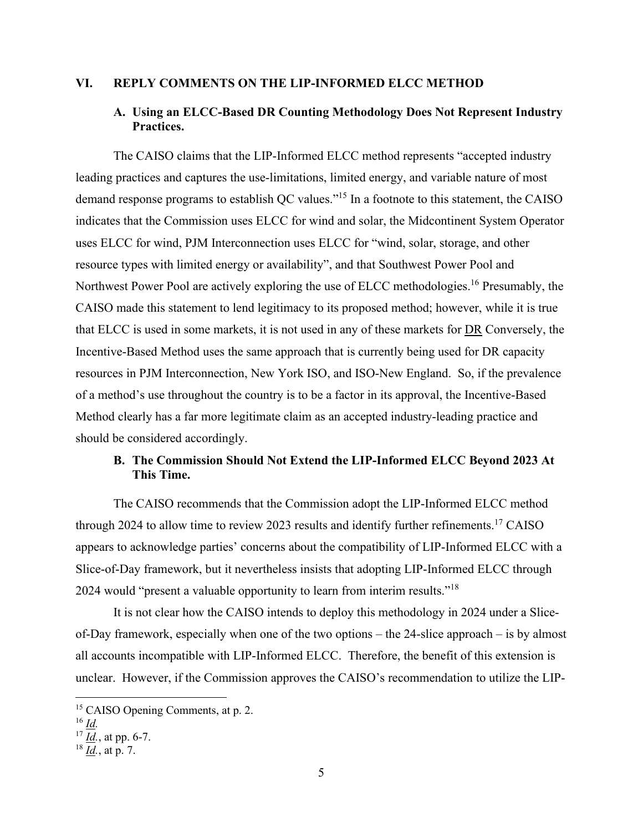#### **VI. REPLY COMMENTS ON THE LIP-INFORMED ELCC METHOD**

## **A. Using an ELCC-Based DR Counting Methodology Does Not Represent Industry Practices.**

The CAISO claims that the LIP-Informed ELCC method represents "accepted industry leading practices and captures the use-limitations, limited energy, and variable nature of most demand response programs to establish QC values."<sup>15</sup> In a footnote to this statement, the CAISO indicates that the Commission uses ELCC for wind and solar, the Midcontinent System Operator uses ELCC for wind, PJM Interconnection uses ELCC for "wind, solar, storage, and other resource types with limited energy or availability", and that Southwest Power Pool and Northwest Power Pool are actively exploring the use of ELCC methodologies.<sup>16</sup> Presumably, the CAISO made this statement to lend legitimacy to its proposed method; however, while it is true that ELCC is used in some markets, it is not used in any of these markets for DR Conversely, the Incentive-Based Method uses the same approach that is currently being used for DR capacity resources in PJM Interconnection, New York ISO, and ISO-New England. So, if the prevalence of a method's use throughout the country is to be a factor in its approval, the Incentive-Based Method clearly has a far more legitimate claim as an accepted industry-leading practice and should be considered accordingly.

## **B. The Commission Should Not Extend the LIP-Informed ELCC Beyond 2023 At This Time.**

The CAISO recommends that the Commission adopt the LIP-Informed ELCC method through 2024 to allow time to review 2023 results and identify further refinements.<sup>17</sup> CAISO appears to acknowledge parties' concerns about the compatibility of LIP-Informed ELCC with a Slice-of-Day framework, but it nevertheless insists that adopting LIP-Informed ELCC through 2024 would "present a valuable opportunity to learn from interim results."<sup>18</sup>

It is not clear how the CAISO intends to deploy this methodology in 2024 under a Sliceof-Day framework, especially when one of the two options – the 24-slice approach – is by almost all accounts incompatible with LIP-Informed ELCC. Therefore, the benefit of this extension is unclear. However, if the Commission approves the CAISO's recommendation to utilize the LIP-

<sup>&</sup>lt;sup>15</sup> CAISO Opening Comments, at p. 2.

<sup>16</sup> *Id.*

<sup>17</sup> *Id.*, at pp. 6-7.

<sup>18</sup> *Id.*, at p. 7.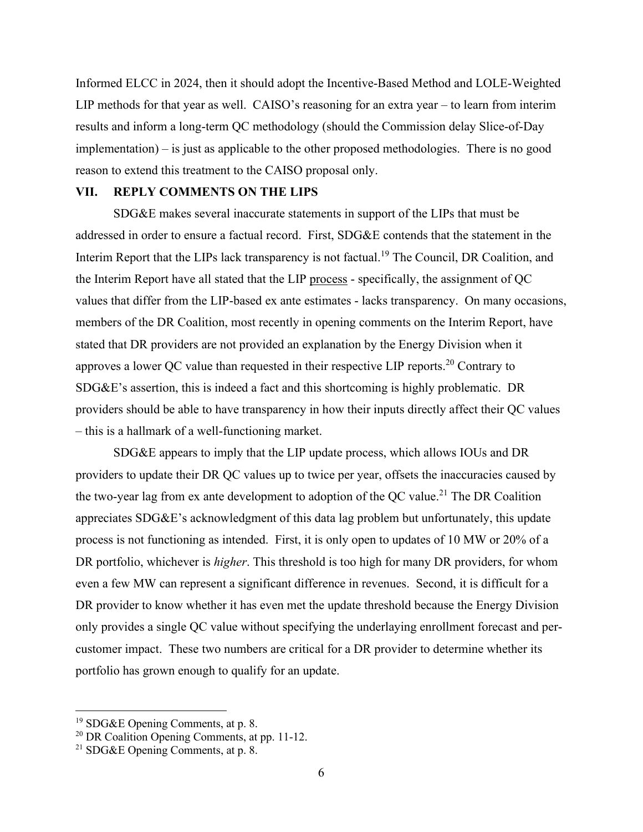Informed ELCC in 2024, then it should adopt the Incentive-Based Method and LOLE-Weighted LIP methods for that year as well. CAISO's reasoning for an extra year – to learn from interim results and inform a long-term QC methodology (should the Commission delay Slice-of-Day implementation) – is just as applicable to the other proposed methodologies. There is no good reason to extend this treatment to the CAISO proposal only.

#### **VII. REPLY COMMENTS ON THE LIPS**

SDG&E makes several inaccurate statements in support of the LIPs that must be addressed in order to ensure a factual record. First, SDG&E contends that the statement in the Interim Report that the LIPs lack transparency is not factual.<sup>19</sup> The Council, DR Coalition, and the Interim Report have all stated that the LIP process - specifically, the assignment of QC values that differ from the LIP-based ex ante estimates - lacks transparency. On many occasions, members of the DR Coalition, most recently in opening comments on the Interim Report, have stated that DR providers are not provided an explanation by the Energy Division when it approves a lower QC value than requested in their respective LIP reports.<sup>20</sup> Contrary to SDG&E's assertion, this is indeed a fact and this shortcoming is highly problematic. DR providers should be able to have transparency in how their inputs directly affect their QC values – this is a hallmark of a well-functioning market.

SDG&E appears to imply that the LIP update process, which allows IOUs and DR providers to update their DR QC values up to twice per year, offsets the inaccuracies caused by the two-year lag from ex ante development to adoption of the OC value.<sup>21</sup> The DR Coalition appreciates SDG&E's acknowledgment of this data lag problem but unfortunately, this update process is not functioning as intended. First, it is only open to updates of 10 MW or 20% of a DR portfolio, whichever is *higher*. This threshold is too high for many DR providers, for whom even a few MW can represent a significant difference in revenues. Second, it is difficult for a DR provider to know whether it has even met the update threshold because the Energy Division only provides a single QC value without specifying the underlaying enrollment forecast and percustomer impact. These two numbers are critical for a DR provider to determine whether its portfolio has grown enough to qualify for an update.

<sup>19</sup> SDG&E Opening Comments, at p. 8.

<sup>20</sup> DR Coalition Opening Comments, at pp. 11-12.

<sup>&</sup>lt;sup>21</sup> SDG&E Opening Comments, at p. 8.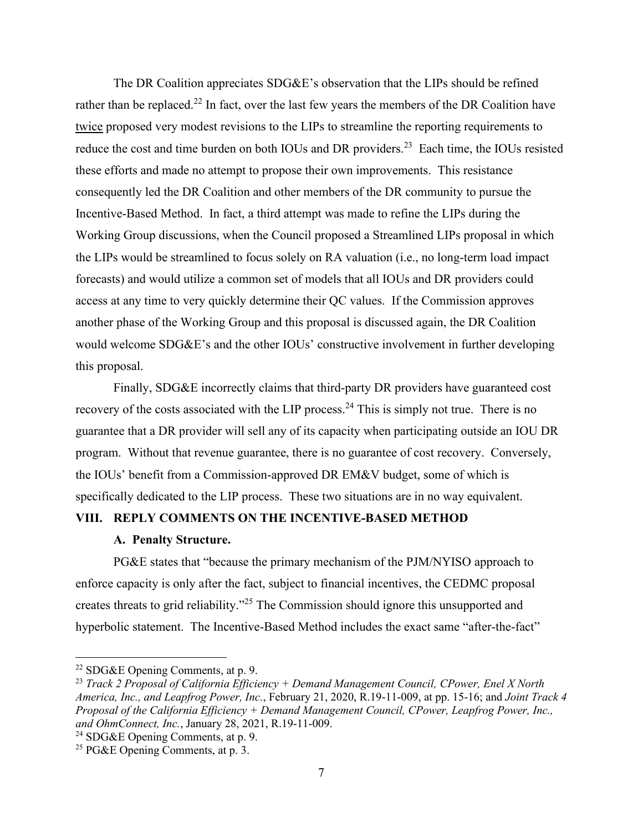The DR Coalition appreciates SDG&E's observation that the LIPs should be refined rather than be replaced.<sup>22</sup> In fact, over the last few years the members of the DR Coalition have twice proposed very modest revisions to the LIPs to streamline the reporting requirements to reduce the cost and time burden on both IOUs and DR providers.<sup>23</sup> Each time, the IOUs resisted these efforts and made no attempt to propose their own improvements. This resistance consequently led the DR Coalition and other members of the DR community to pursue the Incentive-Based Method. In fact, a third attempt was made to refine the LIPs during the Working Group discussions, when the Council proposed a Streamlined LIPs proposal in which the LIPs would be streamlined to focus solely on RA valuation (i.e., no long-term load impact forecasts) and would utilize a common set of models that all IOUs and DR providers could access at any time to very quickly determine their QC values. If the Commission approves another phase of the Working Group and this proposal is discussed again, the DR Coalition would welcome SDG&E's and the other IOUs' constructive involvement in further developing this proposal.

Finally, SDG&E incorrectly claims that third-party DR providers have guaranteed cost recovery of the costs associated with the LIP process.<sup>24</sup> This is simply not true. There is no guarantee that a DR provider will sell any of its capacity when participating outside an IOU DR program. Without that revenue guarantee, there is no guarantee of cost recovery. Conversely, the IOUs' benefit from a Commission-approved DR EM&V budget, some of which is specifically dedicated to the LIP process. These two situations are in no way equivalent.

#### **VIII. REPLY COMMENTS ON THE INCENTIVE-BASED METHOD**

#### **A. Penalty Structure.**

PG&E states that "because the primary mechanism of the PJM/NYISO approach to enforce capacity is only after the fact, subject to financial incentives, the CEDMC proposal creates threats to grid reliability."<sup>25</sup> The Commission should ignore this unsupported and hyperbolic statement. The Incentive-Based Method includes the exact same "after-the-fact"

<sup>22</sup> SDG&E Opening Comments, at p. 9.

<sup>23</sup> *Track 2 Proposal of California Efficiency + Demand Management Council, CPower, Enel X North America, Inc., and Leapfrog Power, Inc.*, February 21, 2020, R.19-11-009, at pp. 15-16; and *Joint Track 4 Proposal of the California Efficiency + Demand Management Council, CPower, Leapfrog Power, Inc., and OhmConnect, Inc.*, January 28, 2021, R.19-11-009.

<sup>24</sup> SDG&E Opening Comments, at p. 9.

<sup>&</sup>lt;sup>25</sup> PG&E Opening Comments, at p. 3.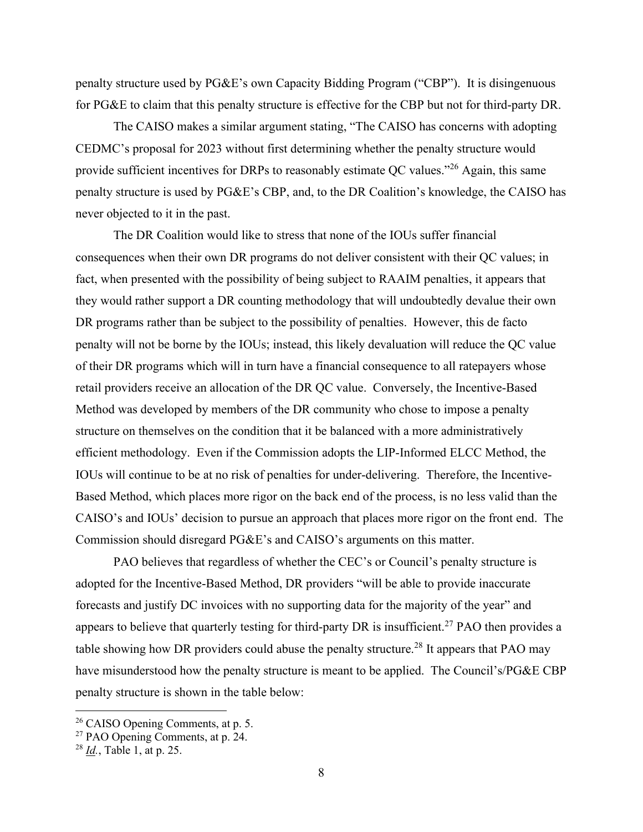penalty structure used by PG&E's own Capacity Bidding Program ("CBP"). It is disingenuous for PG&E to claim that this penalty structure is effective for the CBP but not for third-party DR.

The CAISO makes a similar argument stating, "The CAISO has concerns with adopting CEDMC's proposal for 2023 without first determining whether the penalty structure would provide sufficient incentives for DRPs to reasonably estimate OC values.<sup>"26</sup> Again, this same penalty structure is used by PG&E's CBP, and, to the DR Coalition's knowledge, the CAISO has never objected to it in the past.

The DR Coalition would like to stress that none of the IOUs suffer financial consequences when their own DR programs do not deliver consistent with their QC values; in fact, when presented with the possibility of being subject to RAAIM penalties, it appears that they would rather support a DR counting methodology that will undoubtedly devalue their own DR programs rather than be subject to the possibility of penalties. However, this de facto penalty will not be borne by the IOUs; instead, this likely devaluation will reduce the QC value of their DR programs which will in turn have a financial consequence to all ratepayers whose retail providers receive an allocation of the DR QC value. Conversely, the Incentive-Based Method was developed by members of the DR community who chose to impose a penalty structure on themselves on the condition that it be balanced with a more administratively efficient methodology. Even if the Commission adopts the LIP-Informed ELCC Method, the IOUs will continue to be at no risk of penalties for under-delivering. Therefore, the Incentive-Based Method, which places more rigor on the back end of the process, is no less valid than the CAISO's and IOUs' decision to pursue an approach that places more rigor on the front end. The Commission should disregard PG&E's and CAISO's arguments on this matter.

PAO believes that regardless of whether the CEC's or Council's penalty structure is adopted for the Incentive-Based Method, DR providers "will be able to provide inaccurate forecasts and justify DC invoices with no supporting data for the majority of the year" and appears to believe that quarterly testing for third-party DR is insufficient.<sup>27</sup> PAO then provides a table showing how DR providers could abuse the penalty structure.<sup>28</sup> It appears that PAO may have misunderstood how the penalty structure is meant to be applied. The Council's/PG&E CBP penalty structure is shown in the table below:

<sup>26</sup> CAISO Opening Comments, at p. 5.

<sup>27</sup> PAO Opening Comments, at p. 24.

<sup>28</sup> *Id.*, Table 1, at p. 25.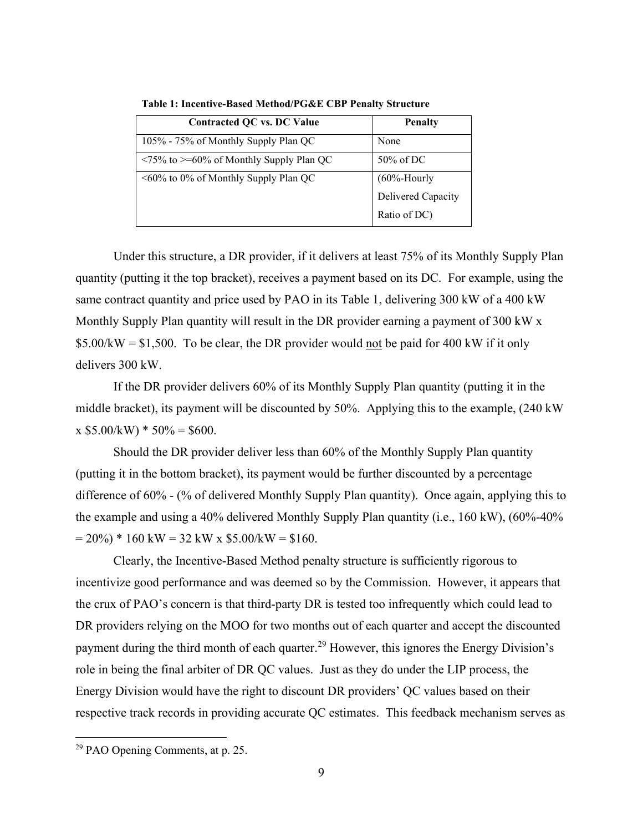| <b>Contracted QC vs. DC Value</b>                                           | <b>Penalty</b>     |
|-----------------------------------------------------------------------------|--------------------|
| 105% - 75% of Monthly Supply Plan QC                                        | None               |
| $\langle 75\% \text{ to } \rangle = 60\% \text{ of Monthly Supply Plan QC}$ | $50\%$ of DC       |
| <60% to 0% of Monthly Supply Plan QC                                        | $(60%$ -Hourly     |
|                                                                             | Delivered Capacity |
|                                                                             | Ratio of DC)       |

**Table 1: Incentive-Based Method/PG&E CBP Penalty Structure**

Under this structure, a DR provider, if it delivers at least 75% of its Monthly Supply Plan quantity (putting it the top bracket), receives a payment based on its DC. For example, using the same contract quantity and price used by PAO in its Table 1, delivering 300 kW of a 400 kW Monthly Supply Plan quantity will result in the DR provider earning a payment of 300 kW x  $$5.00/kW = $1,500$ . To be clear, the DR provider would not be paid for 400 kW if it only delivers 300 kW.

If the DR provider delivers 60% of its Monthly Supply Plan quantity (putting it in the middle bracket), its payment will be discounted by 50%. Applying this to the example, (240 kW  $x $5.00/kW$  \*  $50\% = $600$ .

Should the DR provider deliver less than 60% of the Monthly Supply Plan quantity (putting it in the bottom bracket), its payment would be further discounted by a percentage difference of 60% - (% of delivered Monthly Supply Plan quantity). Once again, applying this to the example and using a 40% delivered Monthly Supply Plan quantity (i.e., 160 kW), (60%-40%  $= 20\%$ ) \* 160 kW = 32 kW x \$5.00/kW = \$160.

Clearly, the Incentive-Based Method penalty structure is sufficiently rigorous to incentivize good performance and was deemed so by the Commission. However, it appears that the crux of PAO's concern is that third-party DR is tested too infrequently which could lead to DR providers relying on the MOO for two months out of each quarter and accept the discounted payment during the third month of each quarter.<sup>29</sup> However, this ignores the Energy Division's role in being the final arbiter of DR QC values. Just as they do under the LIP process, the Energy Division would have the right to discount DR providers' QC values based on their respective track records in providing accurate QC estimates. This feedback mechanism serves as

 $29$  PAO Opening Comments, at p. 25.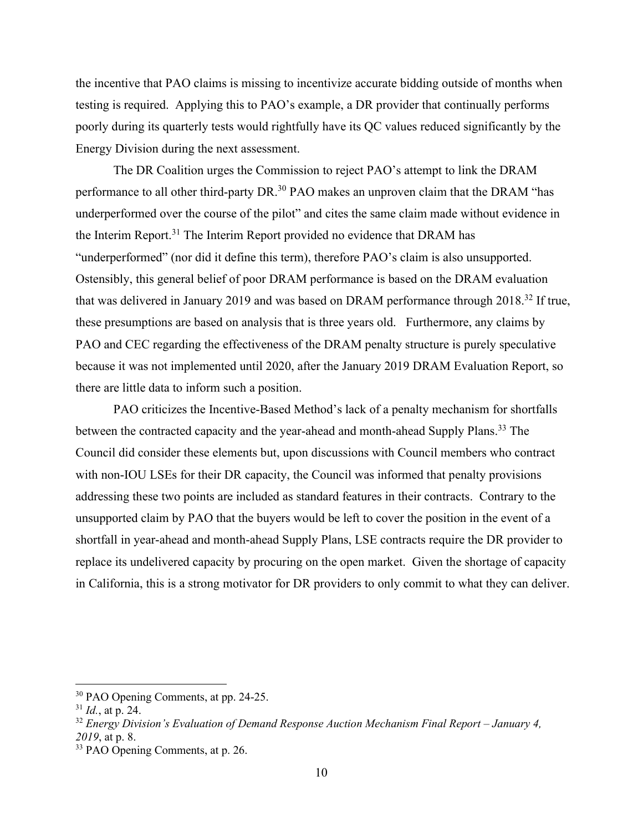the incentive that PAO claims is missing to incentivize accurate bidding outside of months when testing is required. Applying this to PAO's example, a DR provider that continually performs poorly during its quarterly tests would rightfully have its QC values reduced significantly by the Energy Division during the next assessment.

The DR Coalition urges the Commission to reject PAO's attempt to link the DRAM performance to all other third-party DR.<sup>30</sup> PAO makes an unproven claim that the DRAM "has underperformed over the course of the pilot" and cites the same claim made without evidence in the Interim Report.<sup>31</sup> The Interim Report provided no evidence that DRAM has "underperformed" (nor did it define this term), therefore PAO's claim is also unsupported. Ostensibly, this general belief of poor DRAM performance is based on the DRAM evaluation that was delivered in January 2019 and was based on DRAM performance through 2018.<sup>32</sup> If true, these presumptions are based on analysis that is three years old. Furthermore, any claims by PAO and CEC regarding the effectiveness of the DRAM penalty structure is purely speculative because it was not implemented until 2020, after the January 2019 DRAM Evaluation Report, so there are little data to inform such a position.

PAO criticizes the Incentive-Based Method's lack of a penalty mechanism for shortfalls between the contracted capacity and the year-ahead and month-ahead Supply Plans.<sup>33</sup> The Council did consider these elements but, upon discussions with Council members who contract with non-IOU LSEs for their DR capacity, the Council was informed that penalty provisions addressing these two points are included as standard features in their contracts. Contrary to the unsupported claim by PAO that the buyers would be left to cover the position in the event of a shortfall in year-ahead and month-ahead Supply Plans, LSE contracts require the DR provider to replace its undelivered capacity by procuring on the open market. Given the shortage of capacity in California, this is a strong motivator for DR providers to only commit to what they can deliver.

<sup>30</sup> PAO Opening Comments, at pp. 24-25.

<sup>31</sup> *Id.*, at p. 24.

<sup>32</sup> *Energy Division's Evaluation of Demand Response Auction Mechanism Final Report – January 4, 2019*, at p. 8.

<sup>&</sup>lt;sup>33</sup> PAO Opening Comments, at p. 26.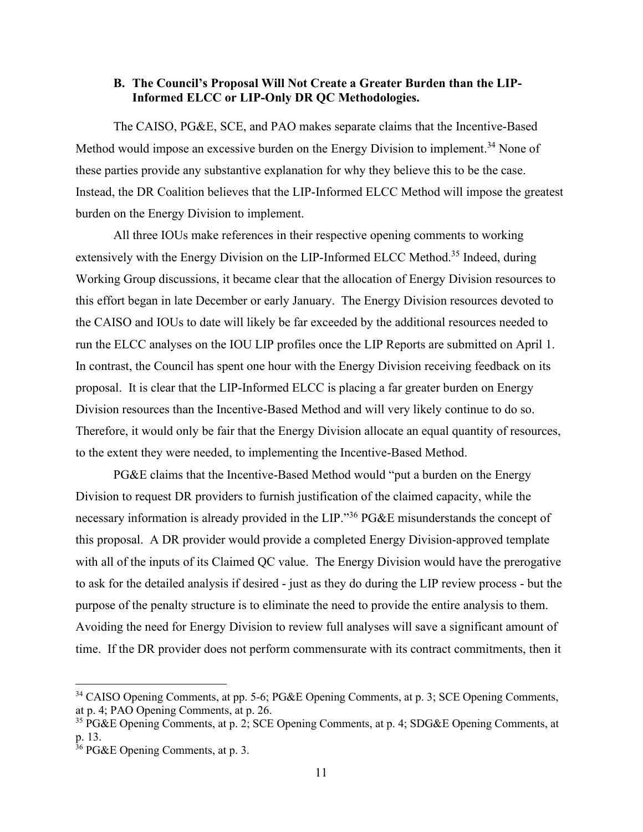#### **B. The Council's Proposal Will Not Create a Greater Burden than the LIP-Informed ELCC or LIP-Only DR QC Methodologies.**

The CAISO, PG&E, SCE, and PAO makes separate claims that the Incentive-Based Method would impose an excessive burden on the Energy Division to implement.<sup>34</sup> None of these parties provide any substantive explanation for why they believe this to be the case. Instead, the DR Coalition believes that the LIP-Informed ELCC Method will impose the greatest burden on the Energy Division to implement.

All three IOUs make references in their respective opening comments to working extensively with the Energy Division on the LIP-Informed ELCC Method.<sup>35</sup> Indeed, during Working Group discussions, it became clear that the allocation of Energy Division resources to this effort began in late December or early January. The Energy Division resources devoted to the CAISO and IOUs to date will likely be far exceeded by the additional resources needed to run the ELCC analyses on the IOU LIP profiles once the LIP Reports are submitted on April 1. In contrast, the Council has spent one hour with the Energy Division receiving feedback on its proposal. It is clear that the LIP-Informed ELCC is placing a far greater burden on Energy Division resources than the Incentive-Based Method and will very likely continue to do so. Therefore, it would only be fair that the Energy Division allocate an equal quantity of resources, to the extent they were needed, to implementing the Incentive-Based Method.

PG&E claims that the Incentive-Based Method would "put a burden on the Energy Division to request DR providers to furnish justification of the claimed capacity, while the necessary information is already provided in the LIP."<sup>36</sup> PG&E misunderstands the concept of this proposal. A DR provider would provide a completed Energy Division-approved template with all of the inputs of its Claimed QC value. The Energy Division would have the prerogative to ask for the detailed analysis if desired - just as they do during the LIP review process - but the purpose of the penalty structure is to eliminate the need to provide the entire analysis to them. Avoiding the need for Energy Division to review full analyses will save a significant amount of time. If the DR provider does not perform commensurate with its contract commitments, then it

<sup>&</sup>lt;sup>34</sup> CAISO Opening Comments, at pp. 5-6; PG&E Opening Comments, at p. 3; SCE Opening Comments, at p. 4; PAO Opening Comments, at p. 26.

<sup>&</sup>lt;sup>35</sup> PG&E Opening Comments, at p. 2; SCE Opening Comments, at p. 4; SDG&E Opening Comments, at p. 13.

 $36$  PG&E Opening Comments, at p. 3.